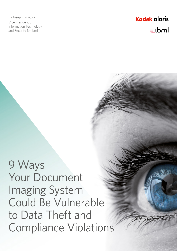By Joseph Pizzitola Vice President of Information Technology and Security for ibml

# **Kodak alaris**  $\equiv$ ibml

**MARKALLAR** 

9 Ways Your Document Imaging System Could Be Vulnerable to Data Theft and Compliance Violations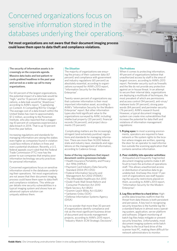Concerned organizations focus on sensitive information stored in the databases underlying their operations.

**Yet most organizations are not aware that their document imaging process could leave them open to data theft and compliance violations.**

**The security of information assets is increasingly on the corporate agenda. Massive data leaks and lost patient records grabbed headlines in the past year and served as a wake-up call to many organizations.**

For 60 percent of the largest organizations, the potential impact of a data leak would be "high," and for 13 percent of these organizations, a data leak would be "disastrous," according to AIIM's report, "Capitalizing on Content: A Compelling ROI for Change." The average cost of a data breach within the United States has risen to approximately \$7.2 million, according to the Ponemon Institute, who also reported that a staggering 43 percent of companies experienced a data breach in 2014. That is up 10 percent from the year before.

Increasing regulations and standards for managing information are raising the stakes even higher as companies found in violation could face millions of dollars in fines and even a potential shutdown. Recently, a U.S. federal appeals court ruled that the Federal Trade Commission (FTC) now has the power to sue companies that employ poor information technology security practices for personal information.

Concerned organizations focus on sensitive information stored in the databases underlying their operations. Yet most organizations are not aware that their document imaging process could leave them open to data theft and compliance violations. This white paper details nine security vulnerabilities in a typical imaging system and shows how an advanced capture solution can uniquely address them.

### *The Situation*

The majority of organizations see ensuring the privacy of their customer data (67 percent) and compliance with government and industry regulations (65 percent) as absolutely essential, according to organizations surveyed for AIIM's 2013 report, "Information Security for the Modern Enterprise".

Twenty-seven percent of organizations say that customer information is their most important information asset, according to AIIM's "Information Security for the Modern Enterprise" report. But other information types also hold significant value to the organizations surveyed by AIIM, including: intellectual property (20 percent), financial records (16 percent), and project documents (15 percent).

 Complicating matters are the increasingly stringent (and extremely punitive) regulations and standards for managing information. There are more than 14,000 federal, state and industry laws, standards and regulations on the management of information, according to Cadence Group.

#### **Some of the key regulations that impact document-centric processes include:**

- Health Insurance Portability and Privacy Act 1996 (HIPAA)
- Payment Card Industry Data Security Standard 2004 (PCI-DSS)
- Federal Information Security and Management Act 2002 (FISMA)
- The Affordable Healthcare Act 2010 • Dodd–Frank Wall Street Reform and
- Consumer Protection Act 2010 • Bank Secrecy Act (BSA)
- Gramm-Leach-Bliley Act (GLBA)
- Sarbanes-Oxley (SOX)
- Defense Information Systems Agency (DISA)

It is no wonder that more than 30 percent of organizations identify compliance and risk as the most significant business driver of document and records management projects, according to AIIM's 2015 report, "Industry Watch: ECM Strategic Decisions".

### *The Problems*

When it comes to protecting information, 49 percent of organizations believe that unauthorized access by staff is the area of largest concern, according to AIIM's 2013 report. Perimeter security such as firewalls and the like do not provide any protection against an in-house threat. In an attempt to secure their internal data, organizations are deploying a multitude of techniques, the most prevalent of which are permissions and access control (94 percent), anti-virus/ malware tools (91 percent), strong passwords (84 percent) and perimeter security (76 percent), AIIM's research found. However, a typical document imaging system can create nine vulnerabilities that increase the potential for data theft and violations of information management regulations:

**1. Prying eyes:** In most scanning environments, operators are required to have network or file system rights to the location where images are written, opening the door for an operator to read information outside the scanning application that contains sensitive information.

**2. Poor visibility into operator activities:** Antiquated and frequently fragmented document imaging systems make it difficult to track the activities of operations staff. This allows unauthorized access or distribution of sensitive data to go undetected. And keep this mind: 17 percent of organizations see staff bypassing the security restrictions placed on them, according to AIIM's 2013 report, "Information Security for the Modern Enterprise".

**3. Log files written to a hard drive:** Highprofile data breaches reaffirm that the threat from data thieves is both persistent and pervasive. A key tool in recognizing security breaches is the humble log file – a standard feature in almost every operating system, application, server platform and software. Diligent monitoring of batch log files helps mitigate or prevent security breaches. Unfortunately, most document imaging systems write batch log files to the local hard drive of the scanner host PC, making them difficult for network administrators to monitor.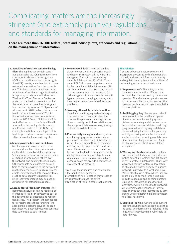Complicating matters are the increasingly stringent (and extremely punitive) regulations and standards for managing information.

**There are more than 14,000 federal, state and industry laws, standards and regulations on the management of information.**

- **4. Sensitive information contained in log files:** The log files can contain sensitive data such as MICR information from checks, optical character recognition (OCR) and intelligent character recognition (ICR) results, and other data that was extracted in real-time from the scan client. This data can be a tantalizing target for thieves. Consider an organization that is capturing data from medical records. The Identity Theft Resource Center reports that the healthcare sector has had the most reported breaches three years in a row, and represented 42.5 percent of all breaches in 2014. In fact, the personal health information of nearly 120 million Americans has been compromised since the 2009 Breach Notification Rule took effect as part of the federal Health Information Technology for Economic and Clinical Health (HITECH) Act, according to multiple studies. Against this backdrop, it makes no sense to leave sensitive data out in the open in log files.
- **5. Images written to a local hard drive:** Most scan clients write images to the scanner's local hard drive prior to writing the data to a network file repository. Some products even store an entire batch of images prior to copying them over the network and deleting the local copy. Other products delete images one at a time as they are written to the network. In most cases, the deleted images are recoverable using standard data recovery tools, creating data-security vulnerabilities since recovered images may be used or distributed for nefarious purposes.
- **6. Locally stored "training" images:** Most document capture solutions require a set of images to "train" the system as part of the document classification and recognition set-up. The problem is that most capture systems store these "training" images on the local hard drive of the scanner's host PC, potentially leaving sensitive data vulnerable to data-thieves.
- **7. Unencrypted data:** One question that always comes up after a security breach is whether the system's disks were fully encrypted. Encryption is mandatory under MA Privacy Law 201 CMR 17 and under PCI DSS on any computer containing Personal Identifiable Information (PII) and/or credit card data. Yet many organizations have yet to make the leap to full disk encryption; this is especially true with typical document imaging systems, which have lagged behind due to performance problems.
- **8. No encryption while data is in motion:** Few document imaging systems encrypt information as it travels between the scanner, the post-scan indexing, validation and quality control workstations, and the image and database servers, leaving it vulnerable to data-thieves.
- **9. Poor security management:** Many document imaging systems require manual processes for network administrators to review the security settings of scanning and document capture devices and software. This is a hassle for the administrator and can lead to less-frequent security configuration reviews, which puts security and compliance at risk. Manual processes also do not provide a comprehensive view of the network.

Any one of these security and compliance vulnerabilities puts sensitive information at risk. Together, they create an environment that puts the entire organization at risk of a catastrophic event.

# *The Solution*

A secure advanced capture solution will incorporate processes and safeguards that uniquely address the information security and regulatory compliance vulnerabilities of the imaging systems described above.

- **1. "Impersonation":** The ability to write data to a network with a different user account than the one used by the scanner operator. This eliminates operator access to the network file store, and ensures that operators only access images through the capture platform.
- **2. Audit logging:** Log files are an excellent way to monitor the health and operation of a document scanning system. Advanced scanning and document capture solutions support detailed audit logging to a customer's syslog or database server, allowing for the tracking of every activity occurring within the document capture solution, including any data creation, deletion, change, or access. Audit log files are also critical for regulatory compliance.
- **3. Writing log files to a network:** Log files will do no good if a human being doesn't notice potential problems and act accordingly, to protect digital assets. That's why advanced capture systems allow batch log files to be written directly to a user's network, instead of to a local hard drive. Writing log files in a place where they are more likely to be monitored helps minimize the exposure and ongoing damage caused by intruders or unauthorized activities. Writing log files to the network also eliminates the chances of internal data-thieves covering their tracks by tampering with or destroying log files written to a local hard drive.
- **4. Sanitized log files:** Advanced document capture solutions sanitize log files so that no sensitive information is included in the logs, unwittingly leaving it vulnerable to data-thieves.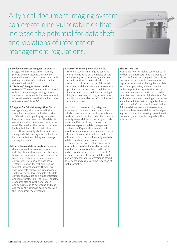A typical document imaging system can create nine vulnerabilities that increase the potential for data theft and violations of information management regulations.

- **5. No locally written images:** Temporary images will be stored only in memory prior to being written to the network store, eliminating the risk associated with writing sensitive information to the hard drive of the host PC.
- **6. "Training" images stored on the network:** "Training" images will be stored only on the network, providing a more secure and better controlled environment for sensitive data than the local hard drive of the scanner's host PC.
- **7. Support for full disk encryption:** Strong encryption algorithms automatically protect all data stored on the hard drives of PCs, without impacting system performance. Users can access the data via an authentication device, such as a password. This enables the system to retrieve the key that decrypts the disk. The enduser's IT and security staff can select and manage a full disk encryption technology that meets their regulatory and managerial requirements
- **8. Encryption of data-in-motion:** Advanced document capture solutions support industry standard transport-level encryption of network traffic between scanners, file servers, database servers, quality control workstations, and post-scan systems. Support for technologies like Internet Protocol Security (IPSec) provide for cryptographic security services such as network-level data integrity, data confidentiality, data origin authentication, and replay protection. The use of industry standards also allow the end-user's IT and security staff to determine and manage the configuration in accordance with their regulatory requirements.

**9. Security control panel:** Making the review of security settings as easy and comprehensive as possible helps ensure consistency and compliance, and saves significant time for network administrators and IT professionals. Advanced scanning and document capture solutions provide a security control panel that allows administrators to drill down and gain insights into users, activity, access rules, configurations and other information, and make adjustments.

In addition to these security safeguards, an advanced document capture solution will also have been analyzed by a reputable third-party audit service to identify potential security vulnerabilities in the program code, such as buffer overflows, process controls, and other exploitable data management weaknesses. Organizations concerned about these vulnerabilities should work only with a solutions provider who submits their software code to frequent security analysis. While this white paper has focused on creating a secure process for capturing new information on a day-forward basis, what about all the images captured in the past and archived in your systems of record? An advanced document capture solution will also identify personal information in stored documents and assist with the redaction of that information.



## **The Bottom Line**

Front page news of leaked customer data and lost patient records has sharpened the industry's focus over the past 12 months on the security and compliance elements of capturing information. Facing the possibility of fines, penalties, and negative impact to their reputation, organizations recognize that they need to work much harder to protect and preserve digital content. But antiquated document imaging systems create vulnerabilities that put organizations at risk of data theft and compliance violations. Advanced document capture solutions eliminate these vulnerabilities while aligning the document processing operation with the security and compliance goals of the enterprise.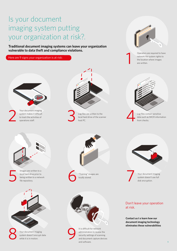# Is your document imaging system putting your organization at risk?.

system doesn't encrypt data

**Traditional document imaging systems can leave your organization vulnerable to data theft and compliance violations.**



security settings of scanning and document capture devices

and software.